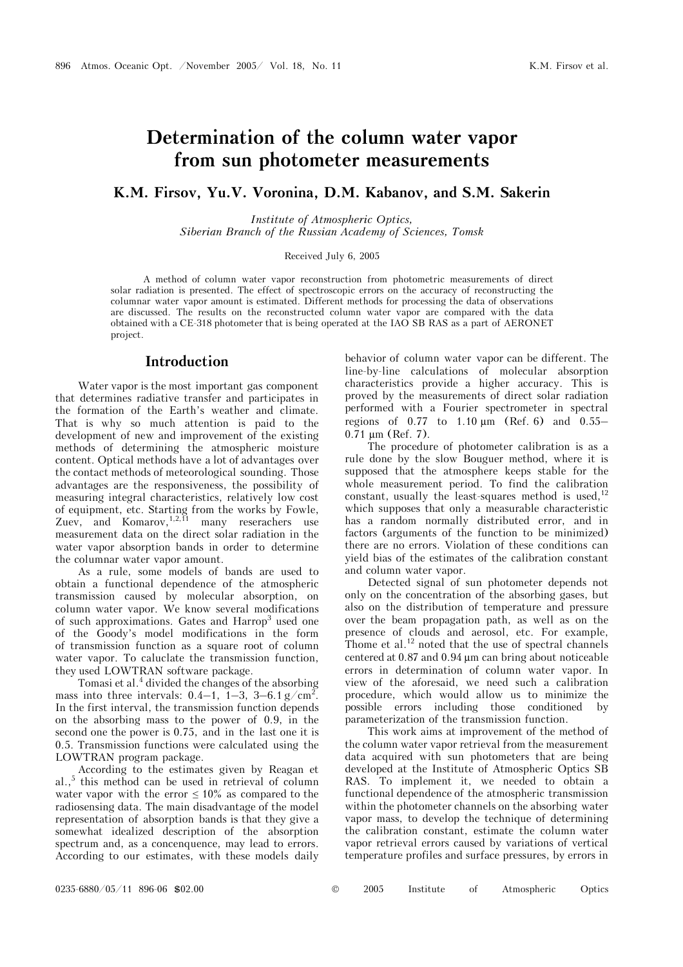# **Determination of the column water vapor from sun photometer measurements**

### **K.M. Firsov, Yu.V. Voronina, D.M. Kabanov, and S.M. Sakerin**

*Institute of Atmospheric Optics, Siberian Branch of the Russian Academy of Sciences, Tomsk* 

Received July 6, 2005

A method of column water vapor reconstruction from photometric measurements of direct solar radiation is presented. The effect of spectroscopic errors on the accuracy of reconstructing the columnar water vapor amount is estimated. Different methods for processing the data of observations are discussed. The results on the reconstructed column water vapor are compared with the data obtained with a CE-318 photometer that is being operated at the IAO SB RAS as a part of AERONET project.

### **Introduction**

Water vapor is the most important gas component that determines radiative transfer and participates in the formation of the Earth's weather and climate. That is why so much attention is paid to the development of new and improvement of the existing methods of determining the atmospheric moisture content. Optical methods have a lot of advantages over the contact methods of meteorological sounding. Those advantages are the responsiveness, the possibility of measuring integral characteristics, relatively low cost of equipment, etc. Starting from the works by Fowle, Zuev, and Komarov,  $1,2,11$  many reserachers use measurement data on the direct solar radiation in the water vapor absorption bands in order to determine the columnar water vapor amount.

As a rule, some models of bands are used to obtain a functional dependence of the atmospheric transmission caused by molecular absorption, on column water vapor. We know several modifications of such approximations. Gates and Harrop<sup>3</sup> used one of the Goody's model modifications in the form of transmission function as a square root of column water vapor. To caluclate the transmission function, they used LOWTRAN software package.

Tomasi et al.<sup>4</sup> divided the changes of the absorbing mass into three intervals:  $0.4-1$ ,  $1-3$ ,  $3-6.1$  g/cm<sup>2</sup>. In the first interval, the transmission function depends on the absorbing mass to the power of 0.9, in the second one the power is 0.75, and in the last one it is 0.5. Transmission functions were calculated using the LOWTRAN program package.

According to the estimates given by Reagan et al.,<sup>5</sup> this method can be used in retrieval of column water vapor with the error  $\leq 10\%$  as compared to the radiosensing data. The main disadvantage of the model representation of absorption bands is that they give a somewhat idealized description of the absorption spectrum and, as a concenquence, may lead to errors. According to our estimates, with these models daily behavior of column water vapor can be different. The line-by-line calculations of molecular absorption characteristics provide a higher accuracy. This is proved by the measurements of direct solar radiation performed with a Fourier spectrometer in spectral regions of 0.77 to 1.10 μm (Ref. 6) and 0.55– 0.71 μm (Ref. 7).

The procedure of photometer calibration is as a rule done by the slow Bouguer method, where it is supposed that the atmosphere keeps stable for the whole measurement period. To find the calibration constant, usually the least-squares method is used.<sup>12</sup> which supposes that only a measurable characteristic has a random normally distributed error, and in factors (arguments of the function to be minimized) there are no errors. Violation of these conditions can yield bias of the estimates of the calibration constant and column water vapor.

Detected signal of sun photometer depends not only on the concentration of the absorbing gases, but also on the distribution of temperature and pressure over the beam propagation path, as well as on the presence of clouds and aerosol, etc. For example, Thome et al.<sup>12</sup> noted that the use of spectral channels centered at 0.87 and 0.94 μm can bring about noticeable errors in determination of column water vapor. In view of the aforesaid, we need such a calibration procedure, which would allow us to minimize the possible errors including those conditioned by parameterization of the transmission function.

This work aims at improvement of the method of the column water vapor retrieval from the measurement data acquired with sun photometers that are being developed at the Institute of Atmospheric Optics SB RAS. To implement it, we needed to obtain a functional dependence of the atmospheric transmission within the photometer channels on the absorbing water vapor mass, to develop the technique of determining the calibration constant, estimate the column water vapor retrieval errors caused by variations of vertical temperature profiles and surface pressures, by errors in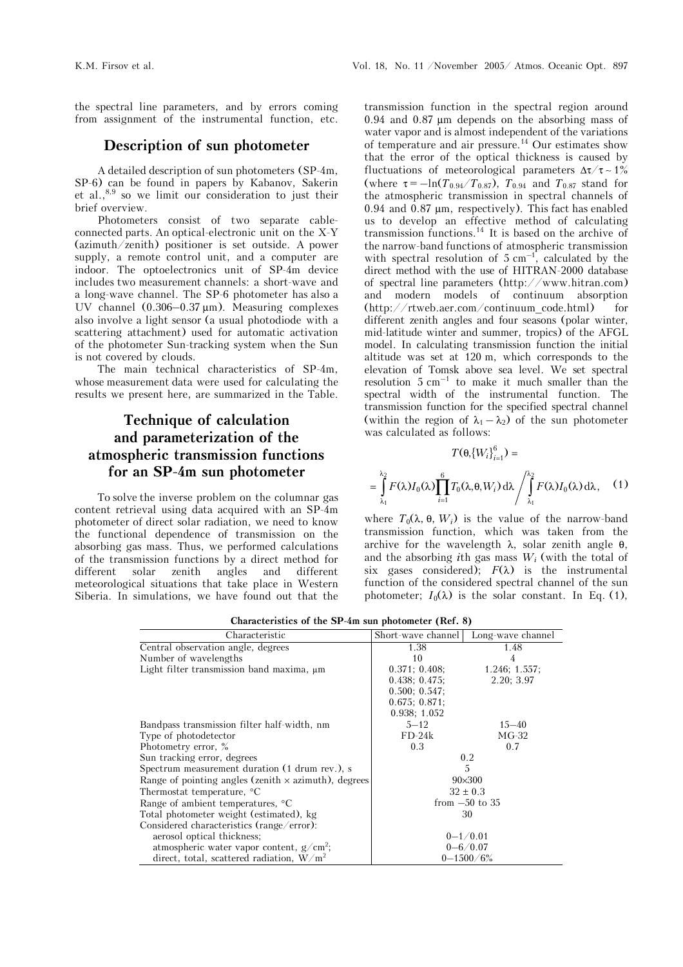the spectral line parameters, and by errors coming from assignment of the instrumental function, etc.

### **Description of sun photometer**

A detailed description of sun photometers (SP-4m, SP-6) can be found in papers by Kabanov, Sakerin et al.,8,9 so we limit our consideration to just their brief overview.

Photometers consist of two separate cableconnected parts. An optical-electronic unit on the X-Y (azimuth/zenith) positioner is set outside. A power supply, a remote control unit, and a computer are indoor. The optoelectronics unit of SP-4m device includes two measurement channels: a short-wave and a long-wave channel. The SP-6 photometer has also a UV channel (0.306–0.37 μm). Measuring complexes also involve a light sensor (a usual photodiode with a scattering attachment) used for automatic activation of the photometer Sun-tracking system when the Sun is not covered by clouds.

The main technical characteristics of SP-4m, whose measurement data were used for calculating the results we present here, are summarized in the Table.

# **Technique of calculation and parameterization of the atmospheric transmission functions for an SP-4m sun photometer**

To solve the inverse problem on the columnar gas content retrieval using data acquired with an SP-4m photometer of direct solar radiation, we need to know the functional dependence of transmission on the absorbing gas mass. Thus, we performed calculations of the transmission functions by a direct method for different solar zenith angles and different meteorological situations that take place in Western Siberia. In simulations, we have found out that the

transmission function in the spectral region around 0.94 and 0.87 μm depends on the absorbing mass of water vapor and is almost independent of the variations of temperature and air pressure.14 Our estimates show that the error of the optical thickness is caused by fluctuations of meteorological parameters  $\Delta \tau / \tau \sim 1\%$ (where  $\tau = -\ln(T_{0.94}/T_{0.87})$ ,  $T_{0.94}$  and  $T_{0.87}$  stand for the atmospheric transmission in spectral channels of 0.94 and 0.87 μm, respectively). This fact has enabled us to develop an effective method of calculating transmission functions.<sup>14</sup> It is based on the archive of the narrow-band functions of atmospheric transmission with spectral resolution of 5  $cm^{-1}$ , calculated by the direct method with the use of HITRAN-2000 database of spectral line parameters (http://www.hitran.com) and modern models of continuum absorption (http://rtweb.aer.com/continuum\_code.html) for different zenith angles and four seasons (polar winter, mid-latitude winter and summer, tropics) of the AFGL model. In calculating transmission function the initial altitude was set at 120 m, which corresponds to the elevation of Tomsk above sea level. We set spectral resolution  $5 \text{ cm}^{-1}$  to make it much smaller than the spectral width of the instrumental function. The transmission function for the specified spectral channel (within the region of  $\lambda_1 - \lambda_2$ ) of the sun photometer was calculated as follows:

$$
T(\theta_{i}\{W_{i}\}_{i=1}^{6}) =
$$

$$
= \int_{\lambda_{1}}^{\lambda_{2}} F(\lambda) I_{0}(\lambda) \prod_{i=1}^{6} T_{0}(\lambda, \theta, W_{i}) d\lambda / \int_{\lambda_{1}}^{\lambda_{2}} F(\lambda) I_{0}(\lambda) d\lambda, \quad (1)
$$

where  $T_0(\lambda, \theta, W_i)$  is the value of the narrow-band transmission function, which was taken from the archive for the wavelength  $\lambda$ , solar zenith angle  $\theta$ , and the absorbing *i*th gas mass *Wi* (with the total of six gases considered);  $F(\lambda)$  is the instrumental function of the considered spectral channel of the sun photometer;  $I_0(\lambda)$  is the solar constant. In Eq. (1),

| Characteristic                                              | Short-wave channel | Long-wave channel |
|-------------------------------------------------------------|--------------------|-------------------|
| Central observation angle, degrees                          | 1.38               | 1.48              |
| Number of wavelengths                                       | 10                 | 4                 |
| Light filter transmission band maxima, $\mu$ m              | 0.371; 0.408;      | 1.246; 1.557;     |
|                                                             | 0.438; 0.475;      | 2.20; 3.97        |
|                                                             | 0.500; 0.547;      |                   |
|                                                             | 0.675; 0.871;      |                   |
|                                                             | 0.938; 1.052       |                   |
| Bandpass transmission filter half-width, nm                 | $5 - 12$           | $15 - 40$         |
| Type of photodetector                                       | $FD-24k$           | $MG-32$           |
| Photometry error, %                                         | 0.3                | 0.7               |
| Sun tracking error, degrees                                 | 0.2                |                   |
| Spectrum measurement duration (1 drum rev.), s              | 5                  |                   |
| Range of pointing angles (zenith $\times$ azimuth), degrees | $90\times300$      |                   |
| Thermostat temperature, °C                                  | $32 \pm 0.3$       |                   |
| Range of ambient temperatures, <sup>o</sup> C               | from $-50$ to 35   |                   |
| Total photometer weight (estimated), kg                     | 30                 |                   |
| Considered characteristics (range/error):                   |                    |                   |
| aerosol optical thickness;                                  | $0 - 1/0.01$       |                   |
| atmospheric water vapor content, $g/cm^2$ ;                 | $0 - 6/0.07$       |                   |
| direct, total, scattered radiation, $W/m^2$                 | $0 - 1500 / 6\%$   |                   |

**Characteristics of the SP-4m sun photometer (Ref. 8)**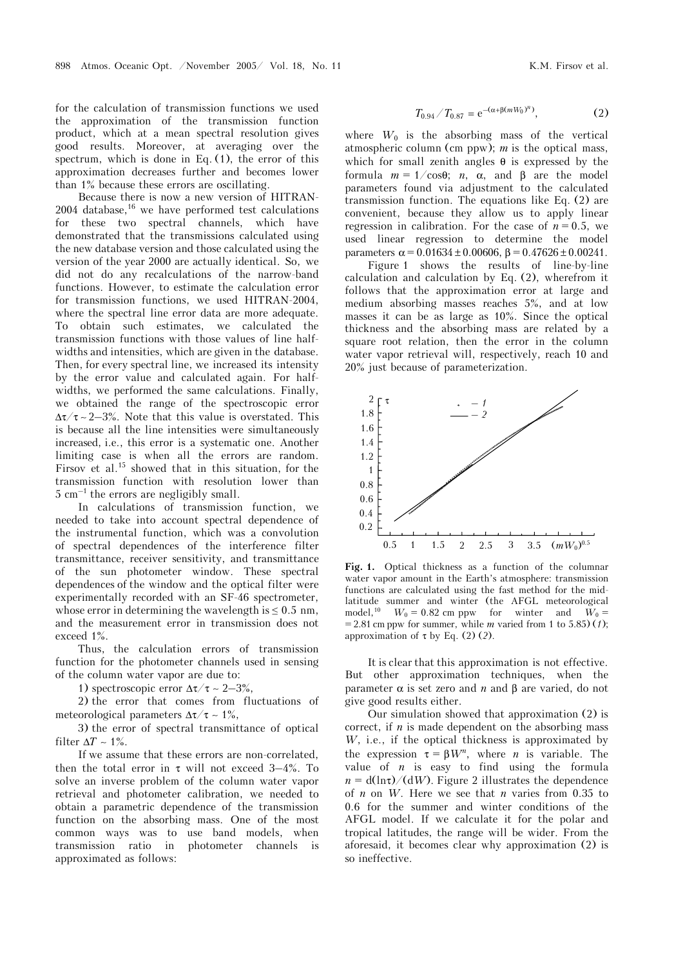for the calculation of transmission functions we used the approximation of the transmission function product, which at a mean spectral resolution gives good results. Moreover, at averaging over the spectrum, which is done in Eq.  $(1)$ , the error of this approximation decreases further and becomes lower than 1% because these errors are oscillating.

Because there is now a new version of HITRAN- $2004$  database,  $16$  we have performed test calculations for these two spectral channels, which have demonstrated that the transmissions calculated using the new database version and those calculated using the version of the year 2000 are actually identical. So, we did not do any recalculations of the narrow-band functions. However, to estimate the calculation error for transmission functions, we used HITRAN-2004, where the spectral line error data are more adequate. To obtain such estimates, we calculated the transmission functions with those values of line halfwidths and intensities, which are given in the database. Then, for every spectral line, we increased its intensity by the error value and calculated again. For halfwidths, we performed the same calculations. Finally, we obtained the range of the spectroscopic error  $\Delta \tau / \tau \sim 2-3\%$ . Note that this value is overstated. This is because all the line intensities were simultaneously increased, i.e., this error is a systematic one. Another limiting case is when all the errors are random. Firsov et al.<sup>15</sup> showed that in this situation, for the transmission function with resolution lower than 5 cm–1 the errors are negligibly small.

In calculations of transmission function, we needed to take into account spectral dependence of the instrumental function, which was a convolution of spectral dependences of the interference filter transmittance, receiver sensitivity, and transmittance of the sun photometer window. These spectral dependences of the window and the optical filter were experimentally recorded with an SF-46 spectrometer, whose error in determining the wavelength is  $\leq 0.5$  nm, and the measurement error in transmission does not exceed 1%.

Thus, the calculation errors of transmission function for the photometer channels used in sensing of the column water vapor are due to:

1) spectroscopic error  $Δτ/τ ~ 2–3%$ ,

2) the error that comes from fluctuations of meteorological parameters  $\Delta \tau / \tau \sim 1\%$ ,

3) the error of spectral transmittance of optical filter  $\Delta T \sim 1\%$ .

If we assume that these errors are non-correlated, then the total error in  $\tau$  will not exceed 3–4%. To solve an inverse problem of the column water vapor retrieval and photometer calibration, we needed to obtain a parametric dependence of the transmission function on the absorbing mass. One of the most common ways was to use band models, when transmission ratio in photometer channels is approximated as follows:

$$
T_{0.94}/T_{0.87} = e^{-(\alpha + \beta(mW_0)^n)}, \tag{2}
$$

where  $W_0$  is the absorbing mass of the vertical atmospheric column (cm ppw); *m* is the optical mass, which for small zenith angles  $\theta$  is expressed by the formula *m* = 1/cosθ; *n*, α, and β are the model parameters found via adjustment to the calculated transmission function. The equations like Eq. (2) are convenient, because they allow us to apply linear regression in calibration. For the case of  $n = 0.5$ , we used linear regression to determine the model parameters  $\alpha = 0.01634 \pm 0.00606$ ,  $\beta = 0.47626 \pm 0.00241$ .

Figure 1 shows the results of line-by-line calculation and calculation by Eq. (2), wherefrom it follows that the approximation error at large and medium absorbing masses reaches 5%, and at low masses it can be as large as 10%. Since the optical thickness and the absorbing mass are related by a square root relation, then the error in the column water vapor retrieval will, respectively, reach 10 and 20% just because of parameterization.



**Fig. 1.** Optical thickness as a function of the columnar water vapor amount in the Earth's atmosphere: transmission functions are calculated using the fast method for the midlatitude summer and winter (the AFGL meteorological model,<sup>10</sup>  $W_0 = 0.82$  cm ppw for winter and  $W_0 =$  $= 2.81$  cm ppw for summer, while *m* varied from 1 to 5.85) (1); approximation of τ by Eq. (2) (*2*).

It is clear that this approximation is not effective. But other approximation techniques, when the parameter α is set zero and *n* and β are varied, do not give good results either.

Our simulation showed that approximation (2) is correct, if *n* is made dependent on the absorbing mass *W*, i.e., if the optical thickness is approximated by the expression  $\tau = \beta W^n$ , where *n* is variable. The value of  $n$  is easy to find using the formula  $n = d(\ln \tau)/(dW)$ . Figure 2 illustrates the dependence of *n* on *W*. Here we see that *n* varies from 0.35 to 0.6 for the summer and winter conditions of the AFGL model. If we calculate it for the polar and tropical latitudes, the range will be wider. From the aforesaid, it becomes clear why approximation (2) is so ineffective.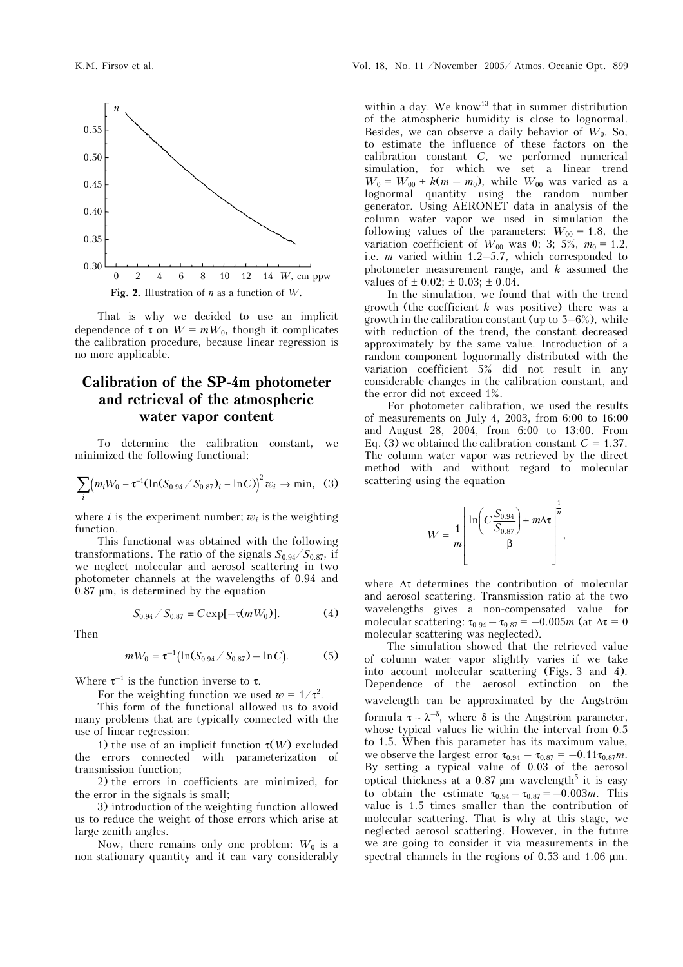

That is why we decided to use an implicit dependence of  $\tau$  on  $W = mW_0$ , though it complicates the calibration procedure, because linear regression is no more applicable.

# **Calibration of the SP-4m photometer and retrieval of the atmospheric water vapor content**

To determine the calibration constant, we minimized the following functional:

$$
\sum_{i} (m_i W_0 - \tau^{-1} (\ln(S_{0.94} / S_{0.87})_i - \ln C))^2 w_i \to \min, (3)
$$

where *i* is the experiment number;  $w_i$  is the weighting function.

This functional was obtained with the following transformations. The ratio of the signals  $S_{0.94}/S_{0.87}$ , if we neglect molecular and aerosol scattering in two photometer channels at the wavelengths of 0.94 and 0.87 μm, is determined by the equation

$$
S_{0.94} / S_{0.87} = C \exp[-\tau(mW_0)]. \tag{4}
$$

Then

$$
mW_0 = \tau^{-1} (\ln(S_{0.94} / S_{0.87}) - \ln C).
$$
 (5)

Where  $\tau^{-1}$  is the function inverse to  $\tau$ .

For the weighting function we used  $w = 1/\tau^2$ .

This form of the functional allowed us to avoid many problems that are typically connected with the use of linear regression:

1) the use of an implicit function τ(*W*) excluded the errors connected with parameterization of transmission function;

2) the errors in coefficients are minimized, for the error in the signals is small;

3) introduction of the weighting function allowed us to reduce the weight of those errors which arise at large zenith angles.

Now, there remains only one problem:  $W_0$  is a non-stationary quantity and it can vary considerably

within a day. We know<sup>13</sup> that in summer distribution of the atmospheric humidity is close to lognormal. Besides, we can observe a daily behavior of  $W_0$ . So, to estimate the influence of these factors on the calibration constant *C*, we performed numerical simulation, for which we set a linear trend  $W_0 = W_{00} + k(m - m_0)$ , while  $W_{00}$  was varied as a lognormal quantity using the random number generator. Using AERONET data in analysis of the column water vapor we used in simulation the following values of the parameters:  $W_{00} = 1.8$ , the variation coefficient of  $W_{00}$  was 0; 3; 5%,  $m_0 = 1.2$ , i.e. *m* varied within 1.2–5.7, which corresponded to photometer measurement range, and *k* assumed the values of  $\pm$  0.02;  $\pm$  0.03;  $\pm$  0.04.

In the simulation, we found that with the trend growth (the coefficient *k* was positive) there was a growth in the calibration constant (up to  $5-6\%$ ), while with reduction of the trend, the constant decreased approximately by the same value. Introduction of a random component lognormally distributed with the variation coefficient 5% did not result in any considerable changes in the calibration constant, and the error did not exceed 1%.

For photometer calibration, we used the results of measurements on July 4, 2003, from 6:00 to 16:00 and August 28, 2004, from 6:00 to 13:00. From Eq. (3) we obtained the calibration constant  $C = 1.37$ . The column water vapor was retrieved by the direct method with and without regard to molecular scattering using the equation

$$
W = \frac{1}{m} \left[ \frac{\ln \left( C \frac{S_{0.94}}{S_{0.87}} \right) + m \Delta \tau}{\beta} \right]^{\frac{1}{n}},
$$

where  $\Delta \tau$  determines the contribution of molecular and aerosol scattering. Transmission ratio at the two wavelengths gives a non-compensated value for molecular scattering:  $\tau_{0.94} - \tau_{0.87} = -0.005m$  (at  $\Delta \tau = 0$ molecular scattering was neglected).

The simulation showed that the retrieved value of column water vapor slightly varies if we take into account molecular scattering (Figs. 3 and 4). Dependence of the aerosol extinction on the wavelength can be approximated by the Angström formula  $\tau \sim \lambda^{-\delta}$ , where δ is the Angström parameter, whose typical values lie within the interval from 0.5 to 1.5. When this parameter has its maximum value, we observe the largest error  $\tau_{0.94} - \tau_{0.87} = -0.11 \tau_{0.87} m$ . By setting a typical value of 0.03 of the aerosol optical thickness at a 0.87  $\mu$ m wavelength<sup>5</sup> it is easy to obtain the estimate  $\tau_{0.94} - \tau_{0.87} = -0.003m$ . This value is 1.5 times smaller than the contribution of molecular scattering. That is why at this stage, we neglected aerosol scattering. However, in the future we are going to consider it via measurements in the spectral channels in the regions of 0.53 and 1.06 μm.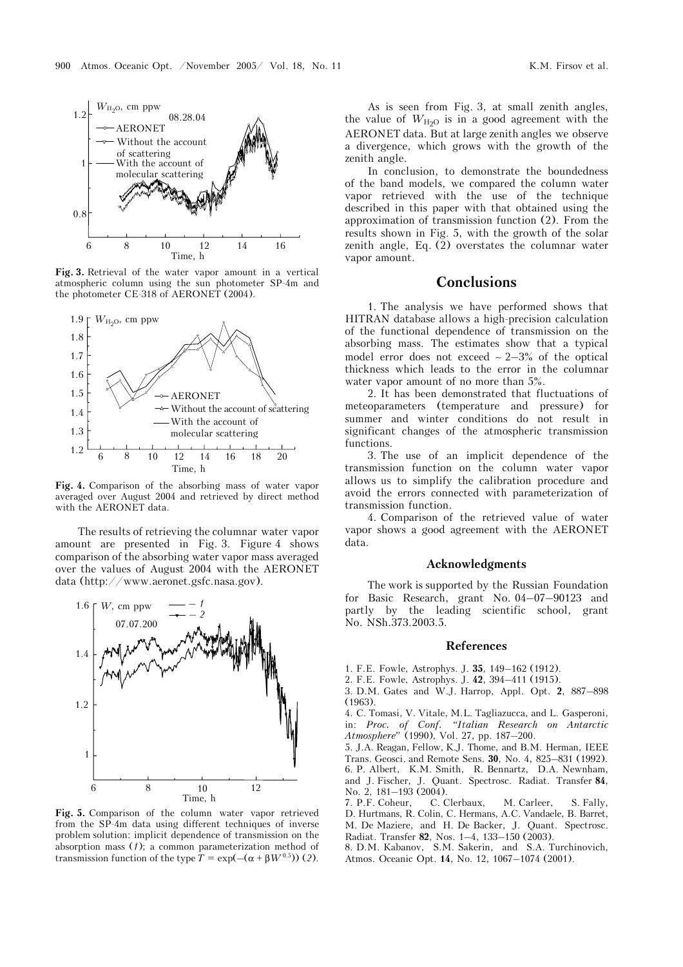

**Fig. 3.** Retrieval of the water vapor amount in a vertical atmospheric column using the sun photometer SP-4m and the photometer  $CE-318$  of AERONET (2004).



**Fig. 4.** Comparison of the absorbing mass of water vapor averaged over August 2004 and retrieved by direct method with the AERONET data.

The results of retrieving the columnar water vapor amount are presented in Fig. 3. Figure 4 shows comparison of the absorbing water vapor mass averaged over the values of August 2004 with the AERONET data (http://www.aeronet.gsfc.nasa.gov).



**Fig. 5.** Comparison of the column water vapor retrieved from the SP-4m data using different techniques of inverse problem solution: implicit dependence of transmission on the absorption mass (*1*); a common parameterization method of transmission function of the type  $T = \exp(-(\alpha + \beta W^{0.5}))$  (2).

As is seen from Fig. 3, at small zenith angles, the value of  $W_{H<sub>2</sub>O}$  is in a good agreement with the AERONET data. But at large zenith angles we observe a divergence, which grows with the growth of the zenith angle.

In conclusion, to demonstrate the boundedness of the band models, we compared the column water vapor retrieved with the use of the technique described in this paper with that obtained using the approximation of transmission function (2). From the results shown in Fig. 5, with the growth of the solar zenith angle, Eq. (2) overstates the columnar water vapor amount.

## **Conclusions**

1. The analysis we have performed shows that HITRAN database allows a high-precision calculation of the functional dependence of transmission on the absorbing mass. The estimates show that a typical model error does not exceed ∼ 2–3% of the optical thickness which leads to the error in the columnar water vapor amount of no more than 5%.

2. It has been demonstrated that fluctuations of meteoparameters (temperature and pressure) for summer and winter conditions do not result in significant changes of the atmospheric transmission functions.

3. The use of an implicit dependence of the transmission function on the column water vapor allows us to simplify the calibration procedure and avoid the errors connected with parameterization of transmission function.

4. Comparison of the retrieved value of water vapor shows a good agreement with the AERONET data.

#### **Acknowledgments**

The work is supported by the Russian Foundation for Basic Research, grant No. 04–07–90123 and partly by the leading scientific school, grant No. NSh.373.2003.5.

#### **References**

1. F.E. Fowle, Astrophys. J. **35**, 149–162 (1912).

2. F.E. Fowle, Astrophys. J. **42**, 394–411 (1915).

3. D.M. Gates and W.J. Harrop, Appl. Opt. **2**, 887–898 (1963).

4. C. Tomasi, V. Vitale, M.L. Tagliazucca, and L. Gasperoni, in: *Proc. of Conf. "Italian Research on Antarctic Atmosphere"* (1990), Vol. 27, pp. 187–200.

5. J.A. Reagan, Fellow, K.J. Thome, and B.M. Herman, IEEE Trans. Geosci. and Remote Sens. **30**, No. 4, 825–831 (1992). 6. P. Albert, K.M. Smith, R. Bennartz, D.A. Newnham, and J. Fischer, J. Quant. Spectrosc. Radiat. Transfer **84**, No. 2, 181–193 (2004).<br>7. P.F. Coheur. C. Clerbaux.

7. P.F. Coheur, C. Clerbaux, M. Carleer, S. Fally, D. Hurtmans, R. Colin, C. Hermans, A.C. Vandaele, B. Barret, M. De Maziere, and H. De Backer, J. Quant. Spectrosc. Radiat. Transfer **82**, Nos. 1–4, 133–150 (2003).

8. D.M. Kabanov, S.M. Sakerin, and S.A. Turchinovich, Atmos. Oceanic Opt. **14**, No. 12, 1067–1074 (2001).